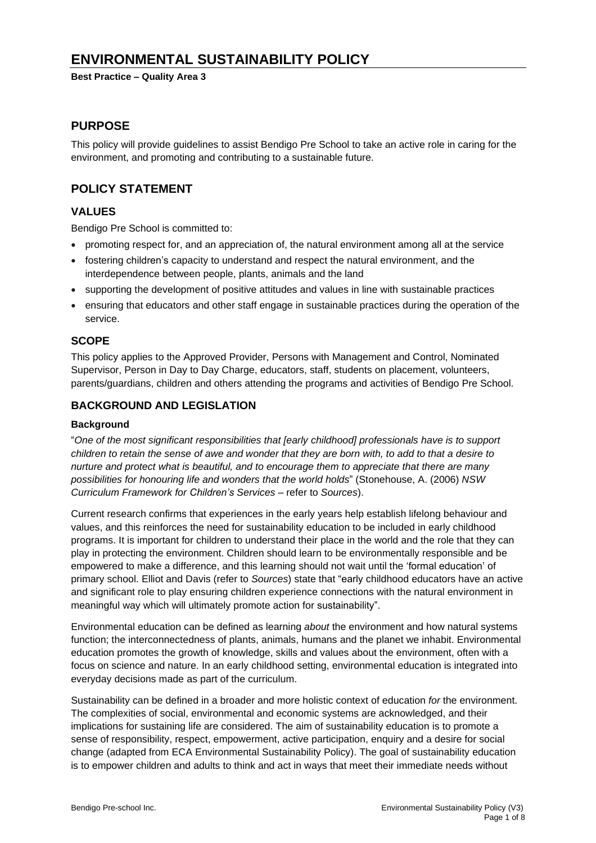# **ENVIRONMENTAL SUSTAINABILITY POLICY**

**Best Practice – Quality Area 3**

### **PURPOSE**

This policy will provide guidelines to assist Bendigo Pre School to take an active role in caring for the environment, and promoting and contributing to a sustainable future.

## **POLICY STATEMENT**

### **VALUES**

Bendigo Pre School is committed to:

- promoting respect for, and an appreciation of, the natural environment among all at the service
- fostering children's capacity to understand and respect the natural environment, and the interdependence between people, plants, animals and the land
- supporting the development of positive attitudes and values in line with sustainable practices
- ensuring that educators and other staff engage in sustainable practices during the operation of the service.

### **SCOPE**

This policy applies to the Approved Provider, Persons with Management and Control, Nominated Supervisor, Person in Day to Day Charge, educators, staff, students on placement, volunteers, parents/guardians, children and others attending the programs and activities of Bendigo Pre School.

### **BACKGROUND AND LEGISLATION**

#### **Background**

"*One of the most significant responsibilities that [early childhood] professionals have is to support* children to retain the sense of awe and wonder that they are born with, to add to that a desire to *nurture and protect what is beautiful, and to encourage them to appreciate that there are many possibilities for honouring life and wonders that the world holds*" (Stonehouse, A. (2006) *NSW Curriculum Framework for Children's Services* – refer to *Sources*).

Current research confirms that experiences in the early years help establish lifelong behaviour and values, and this reinforces the need for sustainability education to be included in early childhood programs. It is important for children to understand their place in the world and the role that they can play in protecting the environment. Children should learn to be environmentally responsible and be empowered to make a difference, and this learning should not wait until the 'formal education' of primary school. Elliot and Davis (refer to *Sources*) state that "early childhood educators have an active and significant role to play ensuring children experience connections with the natural environment in meaningful way which will ultimately promote action for sustainability".

Environmental education can be defined as learning *about* the environment and how natural systems function; the interconnectedness of plants, animals, humans and the planet we inhabit. Environmental education promotes the growth of knowledge, skills and values about the environment, often with a focus on science and nature. In an early childhood setting, environmental education is integrated into everyday decisions made as part of the curriculum.

Sustainability can be defined in a broader and more holistic context of education *for* the environment. The complexities of social, environmental and economic systems are acknowledged, and their implications for sustaining life are considered. The aim of sustainability education is to promote a sense of responsibility, respect, empowerment, active participation, enquiry and a desire for social change (adapted from ECA Environmental Sustainability Policy). The goal of sustainability education is to empower children and adults to think and act in ways that meet their immediate needs without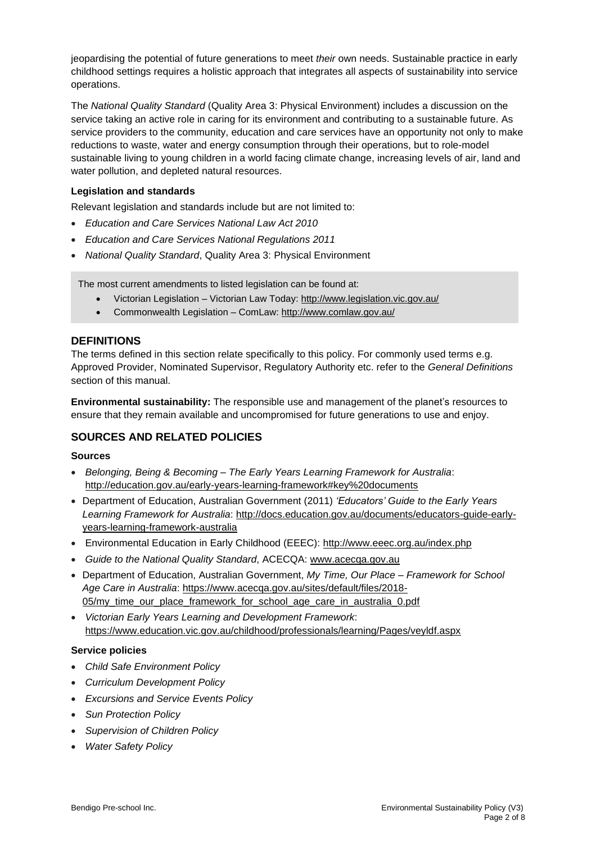jeopardising the potential of future generations to meet *their* own needs. Sustainable practice in early childhood settings requires a holistic approach that integrates all aspects of sustainability into service operations.

The *National Quality Standard* (Quality Area 3: Physical Environment) includes a discussion on the service taking an active role in caring for its environment and contributing to a sustainable future. As service providers to the community, education and care services have an opportunity not only to make reductions to waste, water and energy consumption through their operations, but to role-model sustainable living to young children in a world facing climate change, increasing levels of air, land and water pollution, and depleted natural resources.

### **Legislation and standards**

Relevant legislation and standards include but are not limited to:

- *Education and Care Services National Law Act 2010*
- *Education and Care Services National Regulations 2011*
- *National Quality Standard*, Quality Area 3: Physical Environment

The most current amendments to listed legislation can be found at:

- Victorian Legislation Victorian Law Today: <http://www.legislation.vic.gov.au/>
- Commonwealth Legislation ComLaw: <http://www.comlaw.gov.au/>

### **DEFINITIONS**

The terms defined in this section relate specifically to this policy. For commonly used terms e.g. Approved Provider, Nominated Supervisor, Regulatory Authority etc. refer to the *General Definitions* section of this manual.

**Environmental sustainability:** The responsible use and management of the planet's resources to ensure that they remain available and uncompromised for future generations to use and enjoy.

### **SOURCES AND RELATED POLICIES**

#### **Sources**

- *Belonging, Being & Becoming – The Early Years Learning Framework for Australia*: <http://education.gov.au/early-years-learning-framework#key%20documents>
- Department of Education, Australian Government (2011) *'Educators' Guide to the Early Years* Learning Framework for Australia: [http://docs.education.gov.au/documents/educators-guide-early](http://docs.education.gov.au/documents/educators-guide-early-years-learning-framework-australia)[years-learning-framework-australia](http://docs.education.gov.au/documents/educators-guide-early-years-learning-framework-australia)
- Environmental Education in Early Childhood (EEEC): <http://www.eeec.org.au/index.php>
- *Guide to the National Quality Standard*, ACECQA: [www.acecqa.gov.au](http://www.acecqa.gov.au/)
- Department of Education, Australian Government, *My Time, Our Place – Framework for School Age Care in Australia*: [https://www.acecqa.gov.au/sites/default/files/2018-](https://www.acecqa.gov.au/sites/default/files/2018-05/my_time_our_place_framework_for_school_age_care_in_australia_0.pdf) [05/my\\_time\\_our\\_place\\_framework\\_for\\_school\\_age\\_care\\_in\\_australia\\_0.pdf](https://www.acecqa.gov.au/sites/default/files/2018-05/my_time_our_place_framework_for_school_age_care_in_australia_0.pdf)
- *Victorian Early Years Learning and Development Framework*: <https://www.education.vic.gov.au/childhood/professionals/learning/Pages/veyldf.aspx>

#### **Service policies**

- *Child Safe Environment Policy*
- *Curriculum Development Policy*
- *Excursions and Service Events Policy*
- *Sun Protection Policy*
- *Supervision of Children Policy*
- *Water Safety Policy*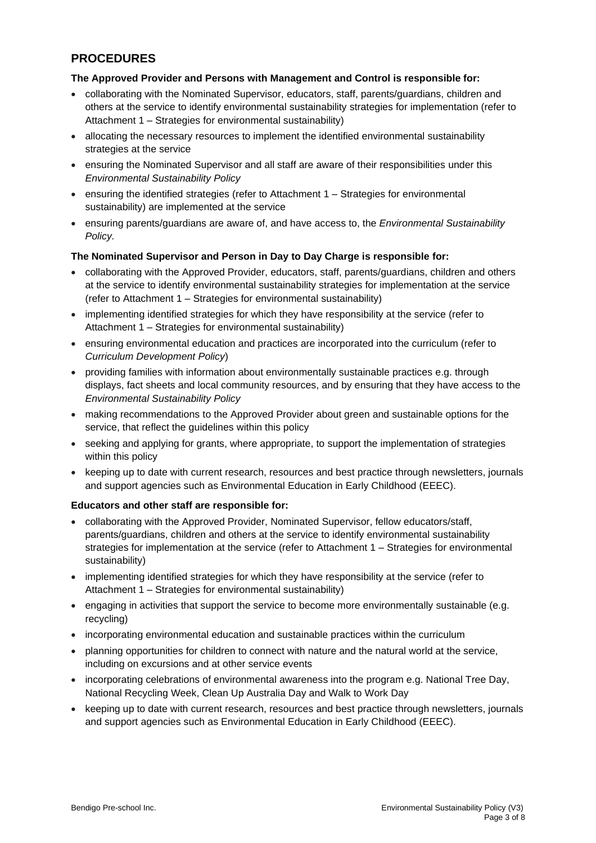## **PROCEDURES**

### **The Approved Provider and Persons with Management and Control is responsible for:**

- collaborating with the Nominated Supervisor, educators, staff, parents/guardians, children and others at the service to identify environmental sustainability strategies for implementation (refer to Attachment 1 – Strategies for environmental sustainability)
- allocating the necessary resources to implement the identified environmental sustainability strategies at the service
- ensuring the Nominated Supervisor and all staff are aware of their responsibilities under this *Environmental Sustainability Policy*
- ensuring the identified strategies (refer to Attachment 1 Strategies for environmental sustainability) are implemented at the service
- ensuring parents/guardians are aware of, and have access to, the *Environmental Sustainability Policy.*

### **The Nominated Supervisor and Person in Day to Day Charge is responsible for:**

- collaborating with the Approved Provider, educators, staff, parents/guardians, children and others at the service to identify environmental sustainability strategies for implementation at the service (refer to Attachment 1 – Strategies for environmental sustainability)
- implementing identified strategies for which they have responsibility at the service (refer to Attachment 1 – Strategies for environmental sustainability)
- ensuring environmental education and practices are incorporated into the curriculum (refer to *Curriculum Development Policy*)
- providing families with information about environmentally sustainable practices e.g. through displays, fact sheets and local community resources, and by ensuring that they have access to the *Environmental Sustainability Policy*
- making recommendations to the Approved Provider about green and sustainable options for the service, that reflect the guidelines within this policy
- seeking and applying for grants, where appropriate, to support the implementation of strategies within this policy
- keeping up to date with current research, resources and best practice through newsletters, journals and support agencies such as Environmental Education in Early Childhood (EEEC).

#### **Educators and other staff are responsible for:**

- collaborating with the Approved Provider, Nominated Supervisor, fellow educators/staff, parents/guardians, children and others at the service to identify environmental sustainability strategies for implementation at the service (refer to Attachment 1 – Strategies for environmental sustainability)
- implementing identified strategies for which they have responsibility at the service (refer to Attachment 1 – Strategies for environmental sustainability)
- engaging in activities that support the service to become more environmentally sustainable (e.g. recycling)
- incorporating environmental education and sustainable practices within the curriculum
- planning opportunities for children to connect with nature and the natural world at the service, including on excursions and at other service events
- incorporating celebrations of environmental awareness into the program e.g. National Tree Day, National Recycling Week, Clean Up Australia Day and Walk to Work Day
- keeping up to date with current research, resources and best practice through newsletters, journals and support agencies such as Environmental Education in Early Childhood (EEEC).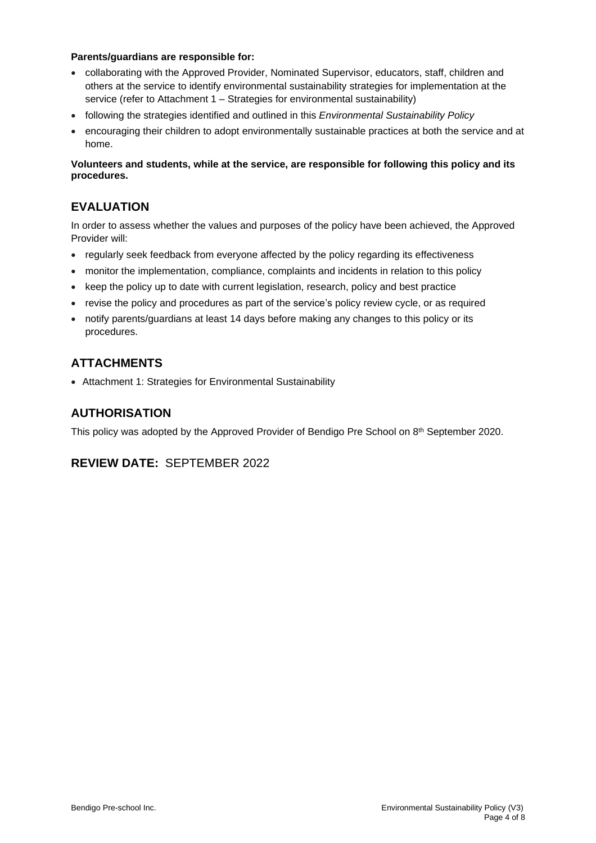#### **Parents/guardians are responsible for:**

- collaborating with the Approved Provider, Nominated Supervisor, educators, staff, children and others at the service to identify environmental sustainability strategies for implementation at the service (refer to Attachment 1 – Strategies for environmental sustainability)
- following the strategies identified and outlined in this *Environmental Sustainability Policy*
- encouraging their children to adopt environmentally sustainable practices at both the service and at home.

**Volunteers and students, while at the service, are responsible for following this policy and its procedures.**

## **EVALUATION**

In order to assess whether the values and purposes of the policy have been achieved, the Approved Provider will:

- regularly seek feedback from everyone affected by the policy regarding its effectiveness
- monitor the implementation, compliance, complaints and incidents in relation to this policy
- keep the policy up to date with current legislation, research, policy and best practice
- revise the policy and procedures as part of the service's policy review cycle, or as required
- notify parents/guardians at least 14 days before making any changes to this policy or its procedures.

## **ATTACHMENTS**

• Attachment 1: Strategies for Environmental Sustainability

## **AUTHORISATION**

This policy was adopted by the Approved Provider of Bendigo Pre School on 8 th September 2020.

## **REVIEW DATE:** SEPTEMBER 2022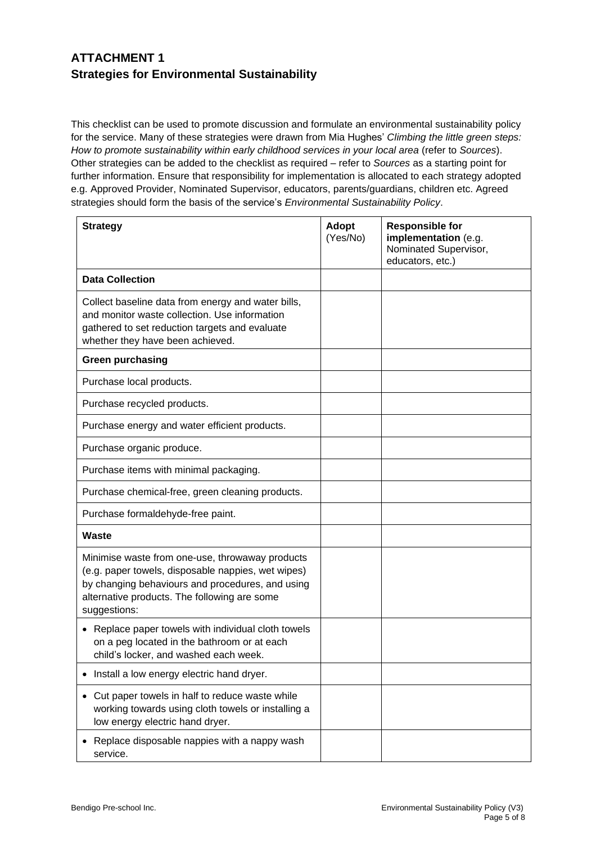## **ATTACHMENT 1 Strategies for Environmental Sustainability**

This checklist can be used to promote discussion and formulate an environmental sustainability policy for the service. Many of these strategies were drawn from Mia Hughes' *Climbing the little green steps: How to promote sustainability within early childhood services in your local area* (refer to *Sources*). Other strategies can be added to the checklist as required – refer to *Sources* as a starting point for further information. Ensure that responsibility for implementation is allocated to each strategy adopted e.g. Approved Provider, Nominated Supervisor, educators, parents/guardians, children etc. Agreed strategies should form the basis of the service's *Environmental Sustainability Policy*.

| <b>Strategy</b>                                                                                                                                                                                                           | Adopt<br>(Yes/No) | <b>Responsible for</b><br>implementation (e.g.<br>Nominated Supervisor,<br>educators, etc.) |
|---------------------------------------------------------------------------------------------------------------------------------------------------------------------------------------------------------------------------|-------------------|---------------------------------------------------------------------------------------------|
| <b>Data Collection</b>                                                                                                                                                                                                    |                   |                                                                                             |
| Collect baseline data from energy and water bills,<br>and monitor waste collection. Use information<br>gathered to set reduction targets and evaluate<br>whether they have been achieved.                                 |                   |                                                                                             |
| <b>Green purchasing</b>                                                                                                                                                                                                   |                   |                                                                                             |
| Purchase local products.                                                                                                                                                                                                  |                   |                                                                                             |
| Purchase recycled products.                                                                                                                                                                                               |                   |                                                                                             |
| Purchase energy and water efficient products.                                                                                                                                                                             |                   |                                                                                             |
| Purchase organic produce.                                                                                                                                                                                                 |                   |                                                                                             |
| Purchase items with minimal packaging.                                                                                                                                                                                    |                   |                                                                                             |
| Purchase chemical-free, green cleaning products.                                                                                                                                                                          |                   |                                                                                             |
| Purchase formaldehyde-free paint.                                                                                                                                                                                         |                   |                                                                                             |
| Waste                                                                                                                                                                                                                     |                   |                                                                                             |
| Minimise waste from one-use, throwaway products<br>(e.g. paper towels, disposable nappies, wet wipes)<br>by changing behaviours and procedures, and using<br>alternative products. The following are some<br>suggestions: |                   |                                                                                             |
| Replace paper towels with individual cloth towels<br>on a peg located in the bathroom or at each<br>child's locker, and washed each week.                                                                                 |                   |                                                                                             |
| Install a low energy electric hand dryer.                                                                                                                                                                                 |                   |                                                                                             |
| Cut paper towels in half to reduce waste while<br>working towards using cloth towels or installing a<br>low energy electric hand dryer.                                                                                   |                   |                                                                                             |
| Replace disposable nappies with a nappy wash<br>service.                                                                                                                                                                  |                   |                                                                                             |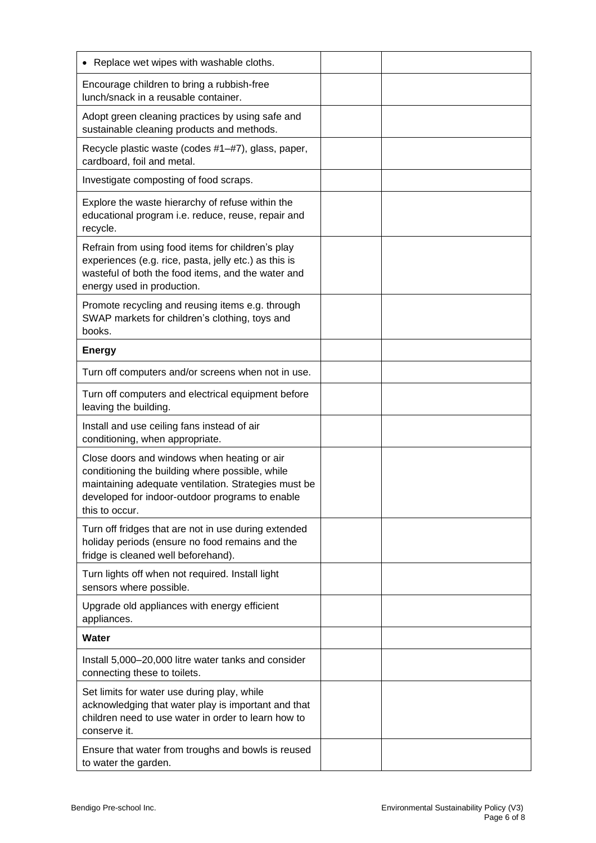| • Replace wet wipes with washable cloths.                                                                                                                                                                                   |  |
|-----------------------------------------------------------------------------------------------------------------------------------------------------------------------------------------------------------------------------|--|
| Encourage children to bring a rubbish-free<br>lunch/snack in a reusable container.                                                                                                                                          |  |
| Adopt green cleaning practices by using safe and<br>sustainable cleaning products and methods.                                                                                                                              |  |
| Recycle plastic waste (codes #1-#7), glass, paper,<br>cardboard, foil and metal.                                                                                                                                            |  |
| Investigate composting of food scraps.                                                                                                                                                                                      |  |
| Explore the waste hierarchy of refuse within the<br>educational program i.e. reduce, reuse, repair and<br>recycle.                                                                                                          |  |
| Refrain from using food items for children's play<br>experiences (e.g. rice, pasta, jelly etc.) as this is<br>wasteful of both the food items, and the water and<br>energy used in production.                              |  |
| Promote recycling and reusing items e.g. through<br>SWAP markets for children's clothing, toys and<br>books.                                                                                                                |  |
| <b>Energy</b>                                                                                                                                                                                                               |  |
| Turn off computers and/or screens when not in use.                                                                                                                                                                          |  |
| Turn off computers and electrical equipment before<br>leaving the building.                                                                                                                                                 |  |
| Install and use ceiling fans instead of air<br>conditioning, when appropriate.                                                                                                                                              |  |
| Close doors and windows when heating or air<br>conditioning the building where possible, while<br>maintaining adequate ventilation. Strategies must be<br>developed for indoor-outdoor programs to enable<br>this to occur. |  |
| Turn off fridges that are not in use during extended<br>holiday periods (ensure no food remains and the<br>fridge is cleaned well beforehand).                                                                              |  |
| Turn lights off when not required. Install light<br>sensors where possible.                                                                                                                                                 |  |
| Upgrade old appliances with energy efficient<br>appliances.                                                                                                                                                                 |  |
| <b>Water</b>                                                                                                                                                                                                                |  |
| Install 5,000-20,000 litre water tanks and consider<br>connecting these to toilets.                                                                                                                                         |  |
| Set limits for water use during play, while<br>acknowledging that water play is important and that<br>children need to use water in order to learn how to<br>conserve it.                                                   |  |
| Ensure that water from troughs and bowls is reused<br>to water the garden.                                                                                                                                                  |  |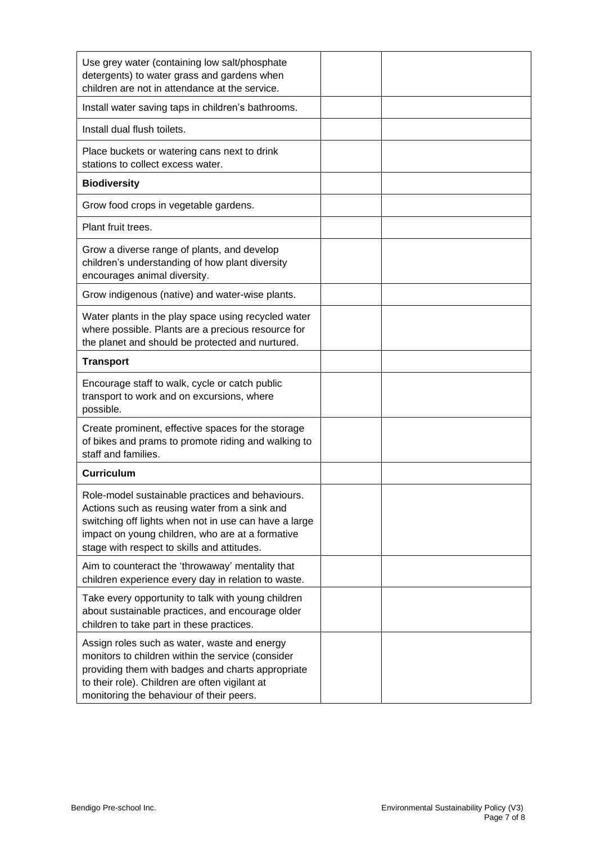| Use grey water (containing low salt/phosphate<br>detergents) to water grass and gardens when<br>children are not in attendance at the service.                                                                                                                |  |
|---------------------------------------------------------------------------------------------------------------------------------------------------------------------------------------------------------------------------------------------------------------|--|
| Install water saving taps in children's bathrooms.                                                                                                                                                                                                            |  |
| Install dual flush toilets.                                                                                                                                                                                                                                   |  |
| Place buckets or watering cans next to drink<br>stations to collect excess water.                                                                                                                                                                             |  |
| <b>Biodiversity</b>                                                                                                                                                                                                                                           |  |
| Grow food crops in vegetable gardens.                                                                                                                                                                                                                         |  |
| Plant fruit trees.                                                                                                                                                                                                                                            |  |
| Grow a diverse range of plants, and develop<br>children's understanding of how plant diversity<br>encourages animal diversity.                                                                                                                                |  |
| Grow indigenous (native) and water-wise plants.                                                                                                                                                                                                               |  |
| Water plants in the play space using recycled water<br>where possible. Plants are a precious resource for<br>the planet and should be protected and nurtured.                                                                                                 |  |
| <b>Transport</b>                                                                                                                                                                                                                                              |  |
| Encourage staff to walk, cycle or catch public<br>transport to work and on excursions, where<br>possible.                                                                                                                                                     |  |
| Create prominent, effective spaces for the storage<br>of bikes and prams to promote riding and walking to<br>staff and families.                                                                                                                              |  |
| <b>Curriculum</b>                                                                                                                                                                                                                                             |  |
| Role-model sustainable practices and behaviours.<br>Actions such as reusing water from a sink and<br>switching off lights when not in use can have a large<br>impact on young children, who are at a formative<br>stage with respect to skills and attitudes. |  |
| Aim to counteract the 'throwaway' mentality that<br>children experience every day in relation to waste.                                                                                                                                                       |  |
| Take every opportunity to talk with young children<br>about sustainable practices, and encourage older<br>children to take part in these practices.                                                                                                           |  |
| Assign roles such as water, waste and energy<br>monitors to children within the service (consider<br>providing them with badges and charts appropriate<br>to their role). Children are often vigilant at<br>monitoring the behaviour of their peers.          |  |